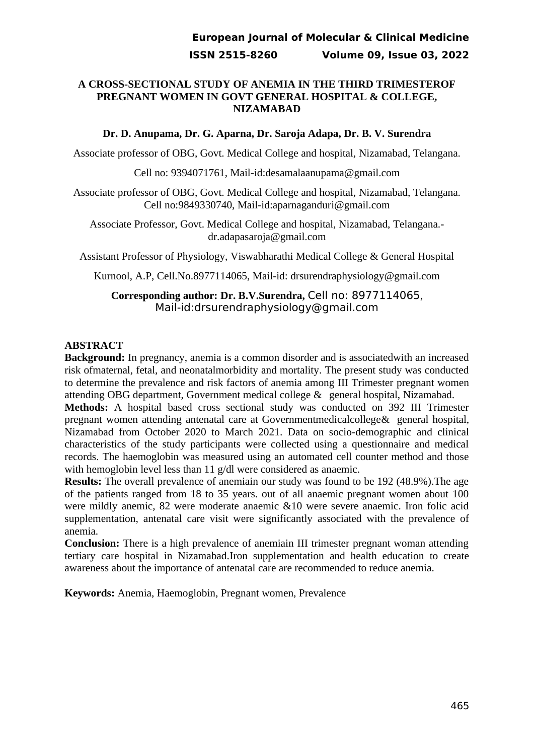### **A CROSS-SECTIONAL STUDY OF ANEMIA IN THE THIRD TRIMESTEROF PREGNANT WOMEN IN GOVT GENERAL HOSPITAL & COLLEGE, NIZAMABAD**

### **Dr. D. Anupama, Dr. G. Aparna, Dr. Saroja Adapa, Dr. B. V. Surendra**

Associate professor of OBG, Govt. Medical College and hospital, Nizamabad, Telangana.

Cell no: 9394071761, Mail-id:desamalaanupama@gmail.com

Associate professor of OBG, Govt. Medical College and hospital, Nizamabad, Telangana. Cell no:9849330740, Mail-id:aparnaganduri@gmail.com

Associate Professor, Govt. Medical College and hospital, Nizamabad, Telangana. dr.adapasaroja@gmail.com

Assistant Professor of Physiology, Viswabharathi Medical College & General Hospital

Kurnool, A.P, Cell.No.8977114065, Mail-id: drsurendraphysiology@gmail.com

**Corresponding author: Dr. B.V.Surendra,** Cell no: 8977114065, Mail-id:drsurendraphysiology@gmail.com

## **ABSTRACT**

**Background:** In pregnancy, anemia is a common disorder and is associatedwith an increased risk ofmaternal, fetal, and neonatalmorbidity and mortality. The present study was conducted to determine the prevalence and risk factors of anemia among III Trimester pregnant women attending OBG department, Government medical college & general hospital, Nizamabad.

**Methods:** A hospital based cross sectional study was conducted on 392 III Trimester pregnant women attending antenatal care at Governmentmedicalcollege& general hospital, Nizamabad from October 2020 to March 2021. Data on socio-demographic and clinical characteristics of the study participants were collected using a questionnaire and medical records. The haemoglobin was measured using an automated cell counter method and those with hemoglobin level less than 11 g/dl were considered as anaemic.

**Results:** The overall prevalence of anemiain our study was found to be 192 (48.9%).The age of the patients ranged from 18 to 35 years. out of all anaemic pregnant women about 100 were mildly anemic, 82 were moderate anaemic &10 were severe anaemic. Iron folic acid supplementation, antenatal care visit were significantly associated with the prevalence of anemia.

**Conclusion:** There is a high prevalence of anemiain III trimester pregnant woman attending tertiary care hospital in Nizamabad.Iron supplementation and health education to create awareness about the importance of antenatal care are recommended to reduce anemia.

**Keywords:** Anemia, Haemoglobin, Pregnant women, Prevalence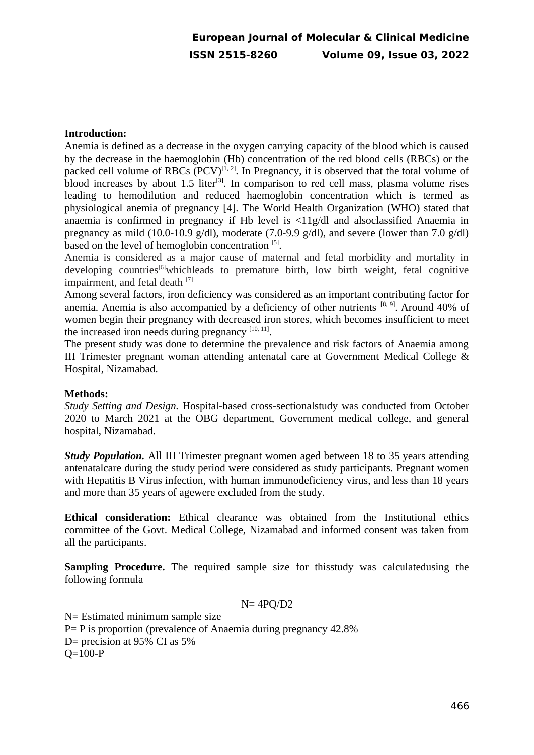### **Introduction:**

Anemia is defined as a decrease in the oxygen carrying capacity of the blood which is caused by the decrease in the haemoglobin (Hb) concentration of the red blood cells (RBCs) or the packed cell volume of RBCs  $\overline{(PCV)}^{[1, 2]}$ . In Pregnancy, it is observed that the total volume of blood increases by about 1.5 liter<sup>[3]</sup>. In comparison to red cell mass, plasma volume rises leading to hemodilution and reduced haemoglobin concentration which is termed as physiological anemia of pregnancy [4]. The World Health Organization (WHO) stated that anaemia is confirmed in pregnancy if Hb level is <11g/dl and alsoclassified Anaemia in pregnancy as mild (10.0-10.9 g/dl), moderate (7.0-9.9 g/dl), and severe (lower than 7.0 g/dl) based on the level of hemoglobin concentration [5].

Anemia is considered as a major cause of maternal and fetal morbidity and mortality in developing countries<sup>[6]</sup>whichleads to premature birth, low birth weight, fetal cognitive impairment, and fetal death [7]

Among several factors, iron deficiency was considered as an important contributing factor for anemia. Anemia is also accompanied by a deficiency of other nutrients  $[8, 9]$ . Around 40% of women begin their pregnancy with decreased iron stores, which becomes insufficient to meet the increased iron needs during pregnancy  $^{[10, 11]}$ .

The present study was done to determine the prevalence and risk factors of Anaemia among III Trimester pregnant woman attending antenatal care at Government Medical College & Hospital, Nizamabad.

#### **Methods:**

*Study Setting and Design.* Hospital-based cross-sectionalstudy was conducted from October 2020 to March 2021 at the OBG department, Government medical college, and general hospital, Nizamabad.

**Study Population.** All III Trimester pregnant women aged between 18 to 35 years attending antenatalcare during the study period were considered as study participants. Pregnant women with Hepatitis B Virus infection, with human immunodeficiency virus, and less than 18 years and more than 35 years of agewere excluded from the study.

**Ethical consideration:** Ethical clearance was obtained from the Institutional ethics committee of the Govt. Medical College, Nizamabad and informed consent was taken from all the participants.

**Sampling Procedure.** The required sample size for thisstudy was calculatedusing the following formula

$$
N = 4PQ/D2
$$

N= Estimated minimum sample size P= P is proportion (prevalence of Anaemia during pregnancy 42.8% D= precision at 95% CI as 5% Q=100-P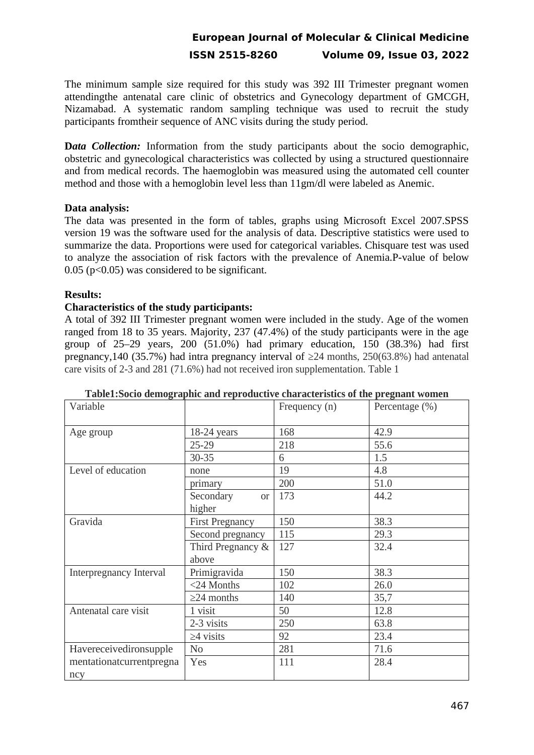The minimum sample size required for this study was 392 III Trimester pregnant women attendingthe antenatal care clinic of obstetrics and Gynecology department of GMCGH, Nizamabad. A systematic random sampling technique was used to recruit the study participants fromtheir sequence of ANC visits during the study period.

**Data Collection:** Information from the study participants about the socio demographic, obstetric and gynecological characteristics was collected by using a structured questionnaire and from medical records. The haemoglobin was measured using the automated cell counter method and those with a hemoglobin level less than 11gm/dl were labeled as Anemic.

### **Data analysis:**

The data was presented in the form of tables, graphs using Microsoft Excel 2007.SPSS version 19 was the software used for the analysis of data. Descriptive statistics were used to summarize the data. Proportions were used for categorical variables. Chisquare test was used to analyze the association of risk factors with the prevalence of Anemia.P-value of below 0.05 (p<0.05) was considered to be significant.

### **Results:**

### **Characteristics of the study participants:**

A total of 392 III Trimester pregnant women were included in the study. Age of the women ranged from 18 to 35 years. Majority, 237 (47.4%) of the study participants were in the age group of 25–29 years, 200 (51.0%) had primary education, 150 (38.3%) had first pregnancy,140 (35.7%) had intra pregnancy interval of  $\geq$ 24 months, 250(63.8%) had antenatal care visits of 2-3 and 281 (71.6%) had not received iron supplementation. Table 1

| raoictiovely aemograpme and reproductive enaracteristics or the pregnant women<br>Variable |                                        | Frequency (n) | Percentage (%) |
|--------------------------------------------------------------------------------------------|----------------------------------------|---------------|----------------|
| Age group                                                                                  | $18-24$ years                          | 168           | 42.9           |
|                                                                                            | $25 - 29$                              | 218           | 55.6           |
|                                                                                            | 30-35                                  | 6             | 1.5            |
| Level of education                                                                         | none                                   | 19            | 4.8            |
|                                                                                            | primary                                | 200           | 51.0           |
|                                                                                            | Secondary<br>or <sub>l</sub><br>higher | 173           | 44.2           |
| Gravida                                                                                    | <b>First Pregnancy</b>                 | 150           | 38.3           |
|                                                                                            | Second pregnancy                       | 115           | 29.3           |
|                                                                                            | Third Pregnancy &<br>above             | 127           | 32.4           |
| Interpregnancy Interval                                                                    | Primigravida                           | 150           | 38.3           |
|                                                                                            | <24 Months                             | 102           | 26.0           |
|                                                                                            | $\geq$ 24 months                       | 140           | 35,7           |
| Antenatal care visit                                                                       | 1 visit                                | 50            | 12.8           |
|                                                                                            | 2-3 visits                             | 250           | 63.8           |
|                                                                                            | $\geq$ 4 visits                        | 92            | 23.4           |
| Havereceivedironsupple                                                                     | N <sub>0</sub>                         | 281           | 71.6           |
| mentationatcurrentpregna<br>ncy                                                            | Yes                                    | 111           | 28.4           |

| Table1:Socio demographic and reproductive characteristics of the pregnant women |  |  |  |
|---------------------------------------------------------------------------------|--|--|--|
|                                                                                 |  |  |  |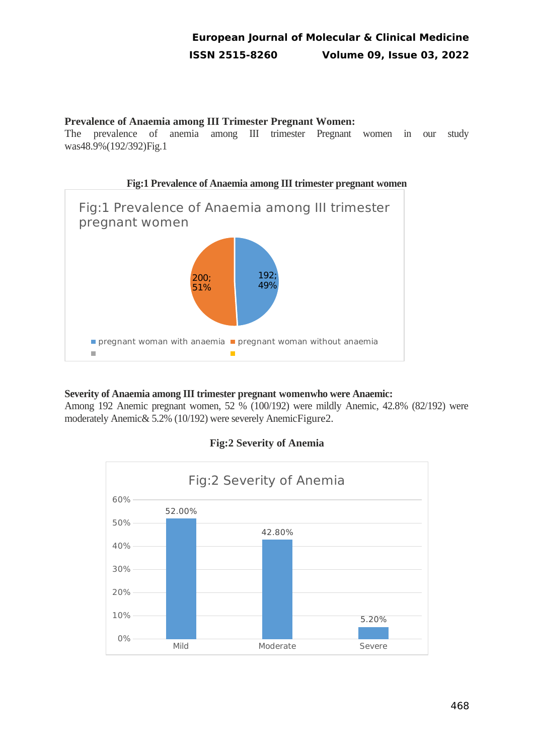## **Prevalence of Anaemia among III Trimester Pregnant Women:**

The prevalence of anemia among III trimester Pregnant women in our study was48.9%(192/392)Fig.1



## **Severity of Anaemia among III trimester pregnant womenwho were Anaemic:**

Among 192 Anemic pregnant women, 52 % (100/192) were mildly Anemic, 42.8% (82/192) were moderately Anemic& 5.2% (10/192) were severely AnemicFigure[2.](#page-3-0)

<span id="page-3-0"></span>

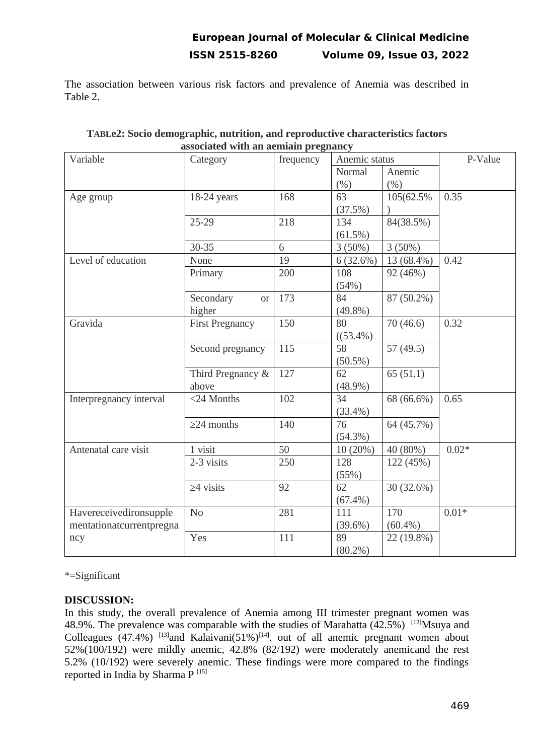The association between various risk factors and prevalence of Anemia was described in Table 2.

| Variable                 | аѕѕостате with ан аеннанг ргеднансу |           |               |             |         |
|--------------------------|-------------------------------------|-----------|---------------|-------------|---------|
|                          | Category                            | frequency | Anemic status |             | P-Value |
|                          |                                     |           | Normal        | Anemic      |         |
|                          |                                     |           | (%)           | (%)         |         |
| Age group                | $18-24$ years                       | 168       | 63            | 105(62.5%)  | 0.35    |
|                          |                                     |           | (37.5%)       |             |         |
|                          | $25 - 29$                           | 218       | 134           | 84(38.5%)   |         |
|                          |                                     |           | (61.5%)       |             |         |
|                          | 30-35                               | 6         | $3(50\%)$     | $3(50\%)$   |         |
| Level of education       | None                                | 19        | 6(32.6%)      | 13 (68.4%)  | 0.42    |
|                          | Primary                             | 200       | 108           | 92 (46%)    |         |
|                          |                                     |           | (54%)         |             |         |
|                          | Secondary<br><b>or</b>              | 173       | 84            | 87 (50.2%)  |         |
|                          | higher                              |           | $(49.8\%)$    |             |         |
| Gravida                  | <b>First Pregnancy</b>              | 150       | 80            | 70 (46.6)   | 0.32    |
|                          |                                     |           | $((53.4\%)$   |             |         |
|                          | Second pregnancy                    | 115       | 58            | 57 $(49.5)$ |         |
|                          |                                     |           | $(50.5\%)$    |             |         |
|                          | Third Pregnancy &                   | 127       | 62            | 65(51.1)    |         |
|                          | above                               |           | $(48.9\%)$    |             |         |
| Interpregnancy interval  | <24 Months                          | 102       | 34            | 68 (66.6%)  | 0.65    |
|                          |                                     |           | $(33.4\%)$    |             |         |
|                          | $\geq$ 24 months                    | 140       | 76            | 64 (45.7%)  |         |
|                          |                                     |           | (54.3%)       |             |         |
| Antenatal care visit     | 1 visit                             | 50        | 10 (20%)      | 40 (80%)    | $0.02*$ |
|                          | 2-3 visits                          | 250       | 128           | 122 (45%)   |         |
|                          |                                     |           | (55%)         |             |         |
|                          | $\geq$ 4 visits                     | 92        | 62            | 30 (32.6%)  |         |
|                          |                                     |           | $(67.4\%)$    |             |         |
| Havereceivedironsupple   | N <sub>o</sub>                      | 281       | 111           | 170         | $0.01*$ |
| mentationatcurrentpregna |                                     |           | $(39.6\%)$    | $(60.4\%)$  |         |
| ncy                      | Yes                                 | 111       | 89            | 22 (19.8%)  |         |
|                          |                                     |           | $(80.2\%)$    |             |         |
|                          |                                     |           |               |             |         |

| TABLe2: Socio demographic, nutrition, and reproductive characteristics factors |
|--------------------------------------------------------------------------------|
| associated with an aemiain pregnancy                                           |

\*=Significant

## **DISCUSSION:**

In this study, the overall prevalence of Anemia among III trimester pregnant women was 48.9%. The prevalence was comparable with the studies of Marahatta  $(42.5%)$  [12] Msuya and Colleagues (47.4%)  $^{[13]}$ and Kalaivani(51%) $^{[14]}$ . out of all anemic pregnant women about 52%(100/192) were mildly anemic, 42.8% (82/192) were moderately anemicand the rest 5.2% (10/192) were severely anemic. These findings were more compared to the findings reported in India by Sharma P<sup>[15]</sup>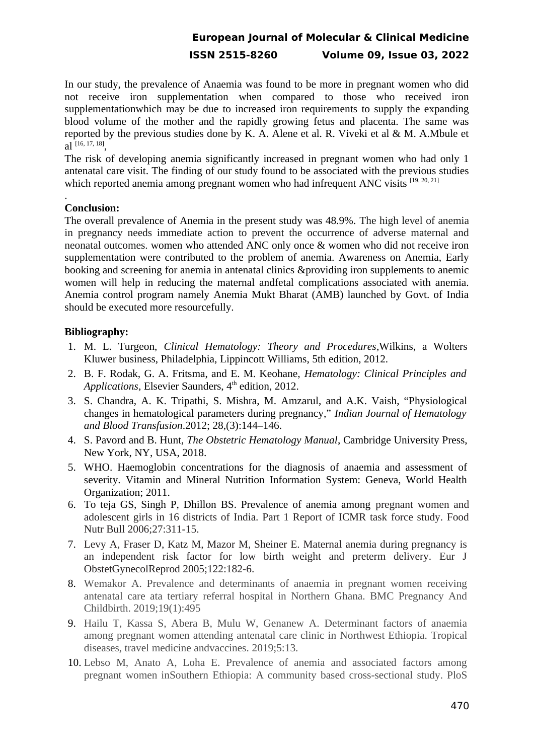In our study, the prevalence of Anaemia was found to be more in pregnant women who did not receive iron supplementation when compared to those who received iron supplementationwhich may be due to increased iron requirements to supply the expanding blood volume of the mother and the rapidly growing fetus and placenta. The same was reported by the previous studies done by K. A. Alene et al. R. Viveki et al & M. A.Mbule et al  $^{[16, 17, 18]},$ 

The risk of developing anemia significantly increased in pregnant women who had only 1 antenatal care visit. The finding of our study found to be associated with the previous studies which reported anemia among pregnant women who had infrequent ANC visits  $[19, 20, 21]$ 

## **Conclusion:**

.

The overall prevalence of Anemia in the present study was 48.9%. The high level of anemia in pregnancy needs immediate action to prevent the occurrence of adverse maternal and neonatal outcomes. women who attended ANC only once & women who did not receive iron supplementation were contributed to the problem of anemia. Awareness on Anemia, Early booking and screening for anemia in antenatal clinics &providing iron supplements to anemic women will help in reducing the maternal andfetal complications associated with anemia. Anemia control program namely Anemia Mukt Bharat (AMB) launched by Govt. of India should be executed more resourcefully.

### **Bibliography:**

- 1. M. L. Turgeon, *Clinical Hematology: Theory and Procedures*,Wilkins, a Wolters Kluwer business, Philadelphia, Lippincott Williams, 5th edition, 2012.
- 2. B. F. Rodak, G. A. Fritsma, and E. M. Keohane, *Hematology: Clinical Principles and Applications*, Elsevier Saunders, 4<sup>th</sup> edition, 2012.
- 3. S. Chandra, A. K. Tripathi, S. Mishra, M. Amzarul, and A.K. Vaish, "Physiological changes in hematological parameters during pregnancy," *Indian Journal of Hematology and Blood Transfusion*.2012; 28,(3):144–146.
- 4. S. Pavord and B. Hunt, *The Obstetric Hematology Manual*, Cambridge University Press, New York, NY, USA, 2018.
- 5. WHO. Haemoglobin concentrations for the diagnosis of anaemia and assessment of severity. Vitamin and Mineral Nutrition Information System: Geneva, World Health Organization; 2011.
- 6. To teja GS, Singh P, Dhillon BS. Prevalence of anemia among pregnant women and adolescent girls in 16 districts of India. Part 1 Report of ICMR task force study. Food Nutr Bull 2006;27:311-15.
- 7. Levy A, Fraser D, Katz M, Mazor M, Sheiner E. Maternal anemia during pregnancy is an independent risk factor for low birth weight and preterm delivery. Eur J ObstetGynecolReprod 2005;122:182-6.
- 8. Wemakor A. Prevalence and determinants of anaemia in pregnant women receiving antenatal care ata tertiary referral hospital in Northern Ghana. BMC Pregnancy And Childbirth. 2019;19(1):495
- 9. Hailu T, Kassa S, Abera B, Mulu W, Genanew A. Determinant factors of anaemia among pregnant women attending antenatal care clinic in Northwest Ethiopia. Tropical diseases, travel medicine andvaccines. 2019;5:13.
- 10. Lebso M, Anato A, Loha E. Prevalence of anemia and associated factors among pregnant women inSouthern Ethiopia: A community based cross-sectional study. PloS